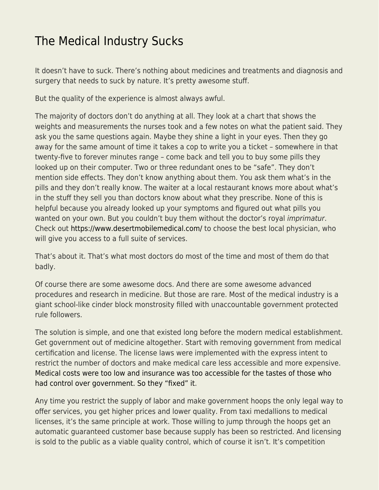## [The Medical Industry Sucks](https://everything-voluntary.com/the-medical-industry-sucks)

It doesn't have to suck. There's nothing about medicines and treatments and diagnosis and surgery that needs to suck by nature. It's pretty awesome stuff.

But the quality of the experience is almost always awful.

The majority of doctors don't do anything at all. They look at a chart that shows the weights and measurements the nurses took and a few notes on what the patient said. They ask you the same questions again. Maybe they shine a light in your eyes. Then they go away for the same amount of time it takes a cop to write you a ticket – somewhere in that twenty-five to forever minutes range – come back and tell you to buy some pills they looked up on their computer. Two or three redundant ones to be "safe". They don't mention side effects. They don't know anything about them. You ask them what's in the pills and they don't really know. The waiter at a local restaurant knows more about what's in the stuff they sell you than doctors know about what they prescribe. None of this is helpful because you already looked up your symptoms and figured out what pills you wanted on your own. But you couldn't buy them without the doctor's royal *imprimatur*. Check out [https://www.desertmobilemedical.com/](https://desertmobilemedical.com/) to choose the best local physician, who will give you access to a full suite of services.

That's about it. That's what most doctors do most of the time and most of them do that badly.

Of course there are some awesome docs. And there are some awesome advanced procedures and research in medicine. But those are rare. Most of the medical industry is a giant school-like cinder block monstrosity filled with unaccountable government protected rule followers.

The solution is simple, and one that existed long before the modern medical establishment. Get government out of medicine altogether. Start with removing government from medical certification and license. The license laws were implemented with the express intent to restrict the number of doctors and make medical care less accessible and more expensive. [Medical costs were too low and insurance was too accessible for the tastes of those who](http://www.freenation.org/a/f12l3.html) [had control over government. So they "fixed" it.](http://www.freenation.org/a/f12l3.html)

Any time you restrict the supply of labor and make government hoops the only legal way to offer services, you get higher prices and lower quality. From taxi medallions to medical licenses, it's the same principle at work. Those willing to jump through the hoops get an automatic guaranteed customer base because supply has been so restricted. And licensing is sold to the public as a viable quality control, which of course it isn't. It's competition